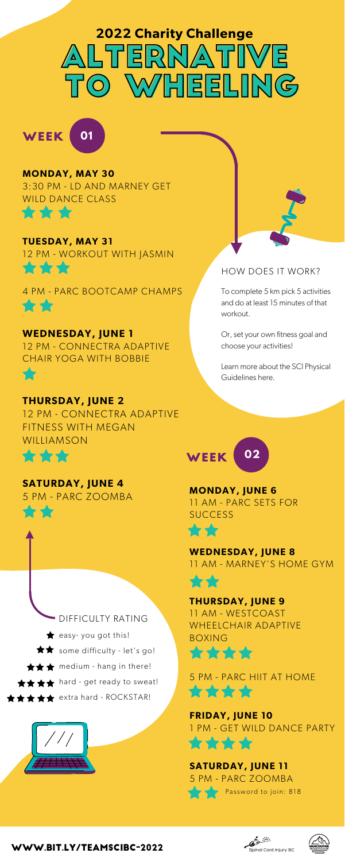### **MONDAY, MAY 30**

[3:30 PM - LD AND MARNEY GET](https://utah.zoom.us/j/92717670355) WILD DANCE CLASS \*\*\*

**TUESDAY, MAY 31** [12 PM - WORKOUT WITH JASMIN](https://us02web.zoom.us/j/81731283369) 含含含

[4 PM - PARC BOOTCAMP CHAMPS](https://ubc.zoom.us/my/parcaticord) ☆☆

> **MONDAY, JUNE 6** [11 AM - PARC SETS FOR](https://ubc.zoom.us/my/parcaticord) **SUCCESS**

**THURSDAY, JUNE 9** 11 AM - WESTCOAST [WHEELCHAIR ADAPTIVE](https://us02web.zoom.us/j/83073079597) BOXING 含含含合



[5 PM - PARC HIIT AT HOME](https://ubc.zoom.us/my/parcaticord) \*\*\*\*



**FRIDAY, JUNE 10** [1 PM - GET WILD DANCE PARTY](https://utah.zoom.us/j/92717670355) \*\*\*\*

# **SATURDAY, JUNE 11** [5 PM - PARC ZOOMBA](https://ubc.zoom.us/my/parcaticord) **Password to join: 818**





# LTERNA **MHEELING 2022 Charity Challenge**

#### **WEDNESDAY, JUNE 8** [11 AM - MARNEY'S HOME GYM](https://zoom.us/j/488630051)





# 5757

#### **WEDNESDAY, JUNE 1**

[12 PM - CONNECTRA ADAPTIVE](https://us02web.zoom.us/meeting/register/tZMvd-igpzktGNYUPwFdZLuf4yK04RMM_Hc3) CHAIR YOGA WITH BOBBIE

#### **THURSDAY, JUNE 2**

[12 PM - CONNECTRA ADAPTIVE](https://us02web.zoom.us/meeting/register/tZEsfuytpj8oHdIvGd-hm08s-jMVAwBPRz7W) FITNESS WITH MEGAN WILLIAMSON



### **SATURDAY, JUNE 4**





#### HOW DOES IT WORK?

To complete 5 km pick 5 activities and do at least 15 minutes of that workout.

Or, set your own fitness goal and choose your activities!

[Learn more about the SCI Physical](https://sciguidelines.ubc.ca/) Guidelines here.

#### [www.bit.ly/teamscibc-2022](https://raceroster.com/events/2022/55315/2022-vancouver-half-marathon/pledge/team/17)